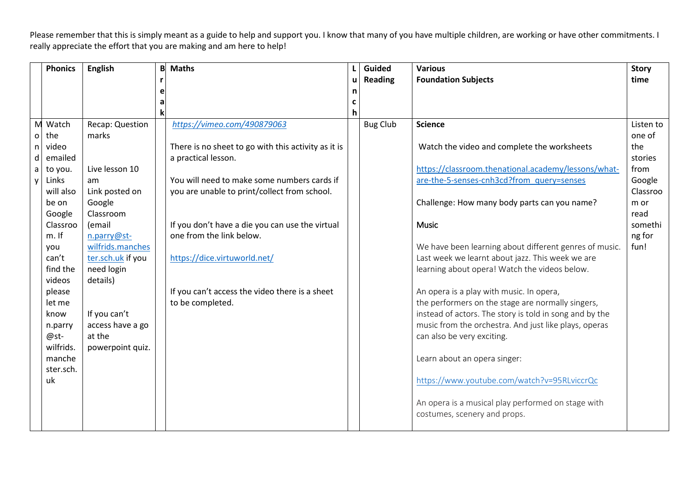|              | <b>Phonics</b> | <b>English</b>         | B | <b>Maths</b>                                        |   | Guided          | <b>Various</b>                                                                     | <b>Story</b> |
|--------------|----------------|------------------------|---|-----------------------------------------------------|---|-----------------|------------------------------------------------------------------------------------|--------------|
|              |                |                        |   |                                                     | u | <b>Reading</b>  | <b>Foundation Subjects</b>                                                         | time         |
|              |                |                        |   |                                                     | n |                 |                                                                                    |              |
|              |                |                        | а |                                                     | C |                 |                                                                                    |              |
|              |                |                        |   |                                                     | h |                 |                                                                                    |              |
| M            | Watch          | Recap: Question        |   | https://vimeo.com/490879063                         |   | <b>Bug Club</b> | <b>Science</b>                                                                     | Listen to    |
| $\mathsf{o}$ | the            | marks                  |   |                                                     |   |                 |                                                                                    | one of       |
| n.           | video          |                        |   | There is no sheet to go with this activity as it is |   |                 | Watch the video and complete the worksheets                                        | the          |
| d            | emailed        |                        |   | a practical lesson.                                 |   |                 |                                                                                    | stories      |
| a            | to you.        | Live lesson 10         |   |                                                     |   |                 | https://classroom.thenational.academy/lessons/what-                                | from         |
| <b>y</b>     | Links          | am                     |   | You will need to make some numbers cards if         |   |                 | are-the-5-senses-cnh3cd?from query=senses                                          | Google       |
|              | will also      | Link posted on         |   | you are unable to print/collect from school.        |   |                 |                                                                                    | Classroo     |
|              | be on          | Google                 |   |                                                     |   |                 | Challenge: How many body parts can you name?                                       | m or         |
|              | Google         | Classroom              |   |                                                     |   |                 |                                                                                    | read         |
|              | Classroo       | (email                 |   | If you don't have a die you can use the virtual     |   |                 | <b>Music</b>                                                                       | somethi      |
|              | $m.$ If        | n.parry@st-            |   | one from the link below.                            |   |                 |                                                                                    | ng for       |
|              | you<br>can't   | wilfrids.manches       |   |                                                     |   |                 | We have been learning about different genres of music.                             | fun!         |
|              | find the       | ter.sch.uk if you      |   | https://dice.virtuworld.net/                        |   |                 | Last week we learnt about jazz. This week we are                                   |              |
|              | videos         | need login<br>details) |   |                                                     |   |                 | learning about opera! Watch the videos below.                                      |              |
|              | please         |                        |   | If you can't access the video there is a sheet      |   |                 | An opera is a play with music. In opera,                                           |              |
|              | let me         |                        |   | to be completed.                                    |   |                 | the performers on the stage are normally singers,                                  |              |
|              | know           | If you can't           |   |                                                     |   |                 | instead of actors. The story is told in song and by the                            |              |
|              | n.parry        | access have a go       |   |                                                     |   |                 | music from the orchestra. And just like plays, operas                              |              |
|              | @st-           | at the                 |   |                                                     |   |                 | can also be very exciting.                                                         |              |
|              | wilfrids.      | powerpoint quiz.       |   |                                                     |   |                 |                                                                                    |              |
|              | manche         |                        |   |                                                     |   |                 | Learn about an opera singer:                                                       |              |
|              | ster.sch.      |                        |   |                                                     |   |                 |                                                                                    |              |
|              | uk.            |                        |   |                                                     |   |                 | https://www.youtube.com/watch?v=95RLviccrQc                                        |              |
|              |                |                        |   |                                                     |   |                 |                                                                                    |              |
|              |                |                        |   |                                                     |   |                 | An opera is a musical play performed on stage with<br>costumes, scenery and props. |              |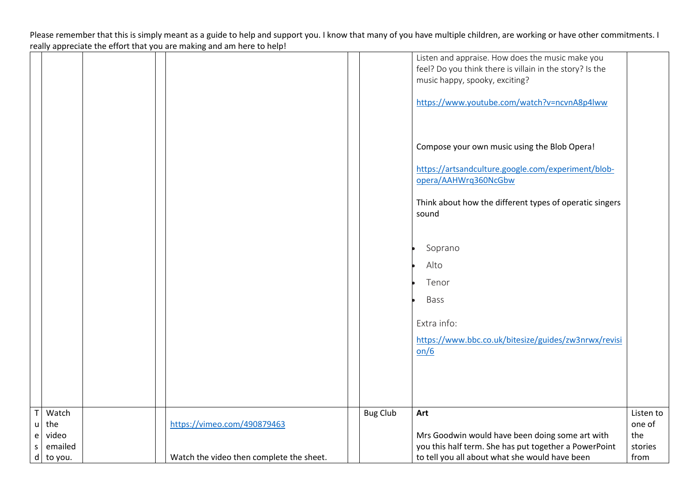|              |           |                                          |                 | Listen and appraise. How does the music make you         |           |
|--------------|-----------|------------------------------------------|-----------------|----------------------------------------------------------|-----------|
|              |           |                                          |                 | feel? Do you think there is villain in the story? Is the |           |
|              |           |                                          |                 | music happy, spooky, exciting?                           |           |
|              |           |                                          |                 |                                                          |           |
|              |           |                                          |                 |                                                          |           |
|              |           |                                          |                 | https://www.youtube.com/watch?v=ncvnA8p4lww              |           |
|              |           |                                          |                 |                                                          |           |
|              |           |                                          |                 |                                                          |           |
|              |           |                                          |                 |                                                          |           |
|              |           |                                          |                 | Compose your own music using the Blob Opera!             |           |
|              |           |                                          |                 |                                                          |           |
|              |           |                                          |                 |                                                          |           |
|              |           |                                          |                 | https://artsandculture.google.com/experiment/blob-       |           |
|              |           |                                          |                 | opera/AAHWrq360NcGbw                                     |           |
|              |           |                                          |                 |                                                          |           |
|              |           |                                          |                 | Think about how the different types of operatic singers  |           |
|              |           |                                          |                 | sound                                                    |           |
|              |           |                                          |                 |                                                          |           |
|              |           |                                          |                 |                                                          |           |
|              |           |                                          |                 |                                                          |           |
|              |           |                                          |                 | Soprano                                                  |           |
|              |           |                                          |                 |                                                          |           |
|              |           |                                          |                 | Alto                                                     |           |
|              |           |                                          |                 | Tenor                                                    |           |
|              |           |                                          |                 |                                                          |           |
|              |           |                                          |                 | Bass                                                     |           |
|              |           |                                          |                 |                                                          |           |
|              |           |                                          |                 |                                                          |           |
|              |           |                                          |                 | Extra info:                                              |           |
|              |           |                                          |                 | https://www.bbc.co.uk/bitesize/guides/zw3nrwx/revisi     |           |
|              |           |                                          |                 | on/6                                                     |           |
|              |           |                                          |                 |                                                          |           |
|              |           |                                          |                 |                                                          |           |
|              |           |                                          |                 |                                                          |           |
|              |           |                                          |                 |                                                          |           |
|              |           |                                          |                 |                                                          |           |
|              |           |                                          |                 |                                                          |           |
| $\mathsf{T}$ | Watch     |                                          | <b>Bug Club</b> | Art                                                      | Listen to |
| $\mathsf{u}$ | the       | https://vimeo.com/490879463              |                 |                                                          | one of    |
| $\mathsf{e}$ | video     |                                          |                 | Mrs Goodwin would have been doing some art with          | the       |
| $\sf S$      | emailed   |                                          |                 | you this half term. She has put together a PowerPoint    | stories   |
|              | d to you. | Watch the video then complete the sheet. |                 | to tell you all about what she would have been           | from      |
|              |           |                                          |                 |                                                          |           |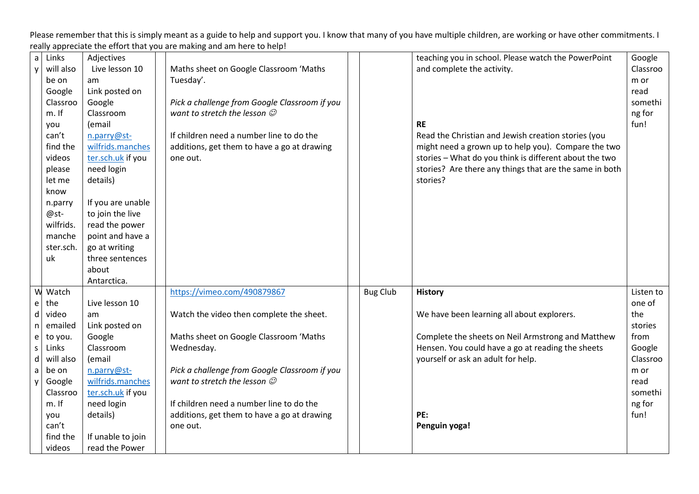| $\mathsf{a}$                | Links     | Adjectives        |                                               |                 | teaching you in school. Please watch the PowerPoint     | Google    |
|-----------------------------|-----------|-------------------|-----------------------------------------------|-----------------|---------------------------------------------------------|-----------|
| y                           | will also | Live lesson 10    | Maths sheet on Google Classroom 'Maths        |                 | and complete the activity.                              | Classroo  |
|                             | be on     | am                | Tuesday'.                                     |                 |                                                         | m or      |
|                             | Google    | Link posted on    |                                               |                 |                                                         | read      |
|                             | Classroo  | Google            | Pick a challenge from Google Classroom if you |                 |                                                         | somethi   |
|                             | $m.$ If   | Classroom         | want to stretch the lesson $\mathcal O$       |                 |                                                         | ng for    |
|                             | you       | (email            |                                               |                 | <b>RE</b>                                               | fun!      |
|                             | can't     | n.parry@st-       | If children need a number line to do the      |                 | Read the Christian and Jewish creation stories (you     |           |
|                             | find the  | wilfrids.manches  | additions, get them to have a go at drawing   |                 | might need a grown up to help you). Compare the two     |           |
|                             | videos    | ter.sch.uk if you | one out.                                      |                 | stories - What do you think is different about the two  |           |
|                             | please    | need login        |                                               |                 | stories? Are there any things that are the same in both |           |
|                             | let me    | details)          |                                               |                 | stories?                                                |           |
|                             | know      |                   |                                               |                 |                                                         |           |
|                             | n.parry   | If you are unable |                                               |                 |                                                         |           |
|                             | @st-      | to join the live  |                                               |                 |                                                         |           |
|                             | wilfrids. | read the power    |                                               |                 |                                                         |           |
|                             | manche    | point and have a  |                                               |                 |                                                         |           |
|                             | ster.sch. | go at writing     |                                               |                 |                                                         |           |
|                             | uk        | three sentences   |                                               |                 |                                                         |           |
|                             |           | about             |                                               |                 |                                                         |           |
|                             |           | Antarctica.       |                                               |                 |                                                         |           |
| W                           | Watch     |                   | https://vimeo.com/490879867                   | <b>Bug Club</b> | <b>History</b>                                          | Listen to |
| e                           | the       | Live lesson 10    |                                               |                 |                                                         | one of    |
| d                           | video     | am                | Watch the video then complete the sheet.      |                 | We have been learning all about explorers.              | the       |
| n                           | emailed   | Link posted on    |                                               |                 |                                                         | stories   |
| e                           | to you.   | Google            | Maths sheet on Google Classroom 'Maths        |                 | Complete the sheets on Neil Armstrong and Matthew       | from      |
| $\mathsf S$                 | Links     | Classroom         | Wednesday.                                    |                 | Hensen. You could have a go at reading the sheets       | Google    |
| $\operatorname{\mathsf{d}}$ | will also | (email            |                                               |                 | yourself or ask an adult for help.                      | Classroo  |
| $\mathsf{a}$                | be on     | n.parry@st-       | Pick a challenge from Google Classroom if you |                 |                                                         | m or      |
| y                           | Google    | wilfrids.manches  | want to stretch the lesson $\mathcal O$       |                 |                                                         | read      |
|                             | Classroo  | ter.sch.uk if you |                                               |                 |                                                         | somethi   |
|                             | m. If     | need login        | If children need a number line to do the      |                 |                                                         | ng for    |
|                             | you       | details)          | additions, get them to have a go at drawing   |                 | PE:                                                     | fun!      |
|                             | can't     |                   | one out.                                      |                 | Penguin yoga!                                           |           |
|                             | find the  | If unable to join |                                               |                 |                                                         |           |
|                             | videos    | read the Power    |                                               |                 |                                                         |           |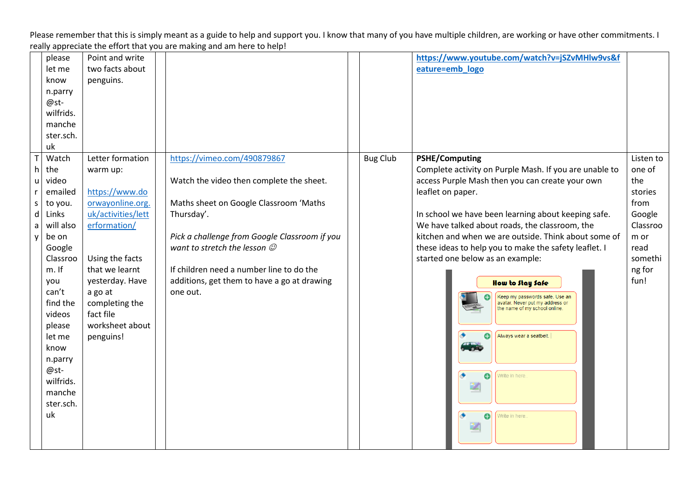|                                                            | please<br>let me<br>know<br>n.parry<br>@st-<br>wilfrids.<br>manche<br>ster.sch.<br>uk                                                                                                                                                    | Point and write<br>two facts about<br>penguins.                                                                                                                                                                                            |                                                                                                                                                                                                                                                                                                                                    |                 | https://www.youtube.com/watch?v=jSZvMHlw9vs&f<br>eature=emb_logo                                                                                                                                                                                                                                                                                                                                                                                                                                                                                                                                                                       |                                                                                                                  |
|------------------------------------------------------------|------------------------------------------------------------------------------------------------------------------------------------------------------------------------------------------------------------------------------------------|--------------------------------------------------------------------------------------------------------------------------------------------------------------------------------------------------------------------------------------------|------------------------------------------------------------------------------------------------------------------------------------------------------------------------------------------------------------------------------------------------------------------------------------------------------------------------------------|-----------------|----------------------------------------------------------------------------------------------------------------------------------------------------------------------------------------------------------------------------------------------------------------------------------------------------------------------------------------------------------------------------------------------------------------------------------------------------------------------------------------------------------------------------------------------------------------------------------------------------------------------------------------|------------------------------------------------------------------------------------------------------------------|
| $\mathsf{T}$<br>$\mathsf{h}$<br>u<br>r<br>S<br>d<br>a<br>y | Watch<br>the<br>video<br>emailed<br>to you.<br>Links<br>will also<br>be on<br>Google<br>Classroo<br>m. If<br>you<br>can't<br>find the<br>videos<br>please<br>let me<br>know<br>n.parry<br>@st-<br>wilfrids.<br>manche<br>ster.sch.<br>uk | Letter formation<br>warm up:<br>https://www.do<br>orwayonline.org.<br>uk/activities/lett<br>erformation/<br>Using the facts<br>that we learnt<br>yesterday. Have<br>a go at<br>completing the<br>fact file<br>worksheet about<br>penguins! | https://vimeo.com/490879867<br>Watch the video then complete the sheet.<br>Maths sheet on Google Classroom 'Maths<br>Thursday'.<br>Pick a challenge from Google Classroom if you<br>want to stretch the lesson $\mathcal O$<br>If children need a number line to do the<br>additions, get them to have a go at drawing<br>one out. | <b>Bug Club</b> | <b>PSHE/Computing</b><br>Complete activity on Purple Mash. If you are unable to<br>access Purple Mash then you can create your own<br>leaflet on paper.<br>In school we have been learning about keeping safe.<br>We have talked about roads, the classroom, the<br>kitchen and when we are outside. Think about some of<br>these ideas to help you to make the safety leaflet. I<br>started one below as an example:<br>How to Stay Safe<br>Keep my passwords safe. Use an<br>avatar. Never put my address or<br>the name of my school online.<br>Always wear a seatbelt.<br><b>The</b><br>e<br>Write in here.<br>Ð<br>Write in here. | Listen to<br>one of<br>the<br>stories<br>from<br>Google<br>Classroo<br>m or<br>read<br>somethi<br>ng for<br>fun! |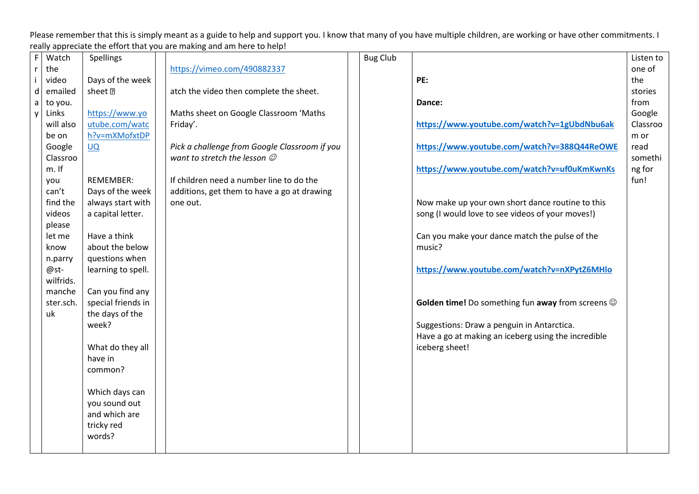| $\mathsf F$  | Watch     | Spellings            |                                               | <b>Bug Club</b> |                                                         | Listen to |
|--------------|-----------|----------------------|-----------------------------------------------|-----------------|---------------------------------------------------------|-----------|
| $\mathsf{r}$ | the       |                      | https://vimeo.com/490882337                   |                 |                                                         | one of    |
| $\mathbf i$  | video     | Days of the week     |                                               |                 | PE:                                                     | the       |
| $\sf d$      | emailed   | sheet <sup>[7]</sup> | atch the video then complete the sheet.       |                 |                                                         | stories   |
| $\mathsf{a}$ | to you.   |                      |                                               |                 | Dance:                                                  | from      |
| $\mathsf{y}$ | Links     | https://www.yo       | Maths sheet on Google Classroom 'Maths        |                 |                                                         | Google    |
|              | will also | utube.com/watc       | Friday'.                                      |                 | https://www.youtube.com/watch?v=1gUbdNbu6ak             | Classroo  |
|              | be on     | h?v=mXMofxtDP        |                                               |                 |                                                         | m or      |
|              | Google    | <b>UQ</b>            | Pick a challenge from Google Classroom if you |                 | https://www.youtube.com/watch?v=388Q44ReOWE             | read      |
|              | Classroo  |                      | want to stretch the lesson $\mathcal O$       |                 |                                                         | somethi   |
|              | m. If     |                      |                                               |                 | https://www.youtube.com/watch?v=uf0uKmKwnKs             | ng for    |
|              | you       | <b>REMEMBER:</b>     | If children need a number line to do the      |                 |                                                         | fun!      |
|              | can't     | Days of the week     | additions, get them to have a go at drawing   |                 |                                                         |           |
|              | find the  | always start with    | one out.                                      |                 | Now make up your own short dance routine to this        |           |
|              | videos    | a capital letter.    |                                               |                 | song (I would love to see videos of your moves!)        |           |
|              | please    |                      |                                               |                 |                                                         |           |
|              | let me    | Have a think         |                                               |                 | Can you make your dance match the pulse of the          |           |
|              | know      | about the below      |                                               |                 | music?                                                  |           |
|              | n.parry   | questions when       |                                               |                 |                                                         |           |
|              | @st-      | learning to spell.   |                                               |                 | https://www.youtube.com/watch?v=nXPytZ6MHlo             |           |
|              | wilfrids. |                      |                                               |                 |                                                         |           |
|              | manche    | Can you find any     |                                               |                 |                                                         |           |
|              | ster.sch. | special friends in   |                                               |                 | Golden time! Do something fun away from screens $\odot$ |           |
|              | uk        | the days of the      |                                               |                 |                                                         |           |
|              |           | week?                |                                               |                 | Suggestions: Draw a penguin in Antarctica.              |           |
|              |           |                      |                                               |                 | Have a go at making an iceberg using the incredible     |           |
|              |           | What do they all     |                                               |                 | iceberg sheet!                                          |           |
|              |           | have in              |                                               |                 |                                                         |           |
|              |           | common?              |                                               |                 |                                                         |           |
|              |           |                      |                                               |                 |                                                         |           |
|              |           | Which days can       |                                               |                 |                                                         |           |
|              |           | you sound out        |                                               |                 |                                                         |           |
|              |           | and which are        |                                               |                 |                                                         |           |
|              |           | tricky red<br>words? |                                               |                 |                                                         |           |
|              |           |                      |                                               |                 |                                                         |           |
|              |           |                      |                                               |                 |                                                         |           |